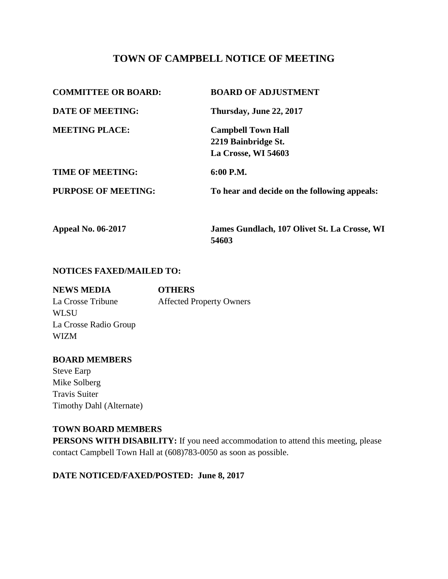# **TOWN OF CAMPBELL NOTICE OF MEETING**

| <b>COMMITTEE OR BOARD:</b> | <b>BOARD OF ADJUSTMENT</b>                   |
|----------------------------|----------------------------------------------|
| <b>DATE OF MEETING:</b>    | Thursday, June 22, 2017                      |
| <b>MEETING PLACE:</b>      | <b>Campbell Town Hall</b>                    |
|                            | 2219 Bainbridge St.                          |
|                            | La Crosse, WI 54603                          |
| <b>TIME OF MEETING:</b>    | 6:00 P.M.                                    |
| <b>PURPOSE OF MEETING:</b> | To hear and decide on the following appeals: |
| <b>Appeal No. 06-2017</b>  | James Gundlach, 107 Olivet St. La Crosse, WI |

**54603**

#### **NOTICES FAXED/MAILED TO:**

| <b>NEWS MEDIA</b>     | <b>OTHERS</b>                   |
|-----------------------|---------------------------------|
| La Crosse Tribune     | <b>Affected Property Owners</b> |
| <b>WLSU</b>           |                                 |
| La Crosse Radio Group |                                 |
| <b>WIZM</b>           |                                 |
|                       |                                 |

#### **BOARD MEMBERS**

Steve Earp Mike Solberg Travis Suiter Timothy Dahl (Alternate)

#### **TOWN BOARD MEMBERS**

**PERSONS WITH DISABILITY:** If you need accommodation to attend this meeting, please contact Campbell Town Hall at (608)783-0050 as soon as possible.

### **DATE NOTICED/FAXED/POSTED: June 8, 2017**